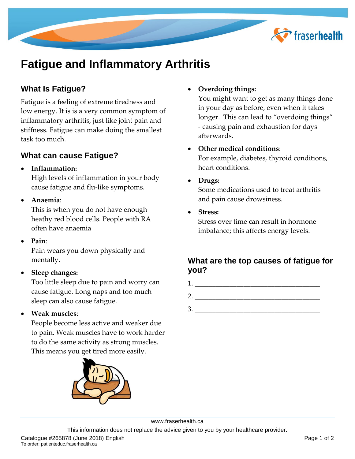

# **Fatigue and Inflammatory Arthritis**

# **What Is Fatigue?**

Fatigue is a feeling of extreme tiredness and low energy. It is is a very common symptom of inflammatory arthritis, just like joint pain and stiffness. Fatigue can make doing the smallest task too much.

### **What can cause Fatigue?**

**Inflammation:**

High levels of inflammation in your body cause fatigue and flu-like symptoms.

**Anaemia**:

This is when you do not have enough heathy red blood cells. People with RA often have anaemia

**Pain**:

Pain wears you down physically and mentally.

**Sleep changes:**

Too little sleep due to pain and worry can cause fatigue. Long naps and too much sleep can also cause fatigue.

**Weak muscles**:

People become less active and weaker due to pain. Weak muscles have to work harder to do the same activity as strong muscles. This means you get tired more easily.



#### **Overdoing things:**

You might want to get as many things done in your day as before, even when it takes longer. This can lead to "overdoing things" - causing pain and exhaustion for days afterwards.

- **Other medical conditions**: For example, diabetes, thyroid conditions, heart conditions.
- **Drugs:**

Some medications used to treat arthritis and pain cause drowsiness.

**Stress:**

Stress over time can result in hormone imbalance; this affects energy levels.

## **What are the top causes of fatigue for you?**



 $3.$ 

www.fraserhealth.ca

This information does not replace the advice given to you by your healthcare provider.